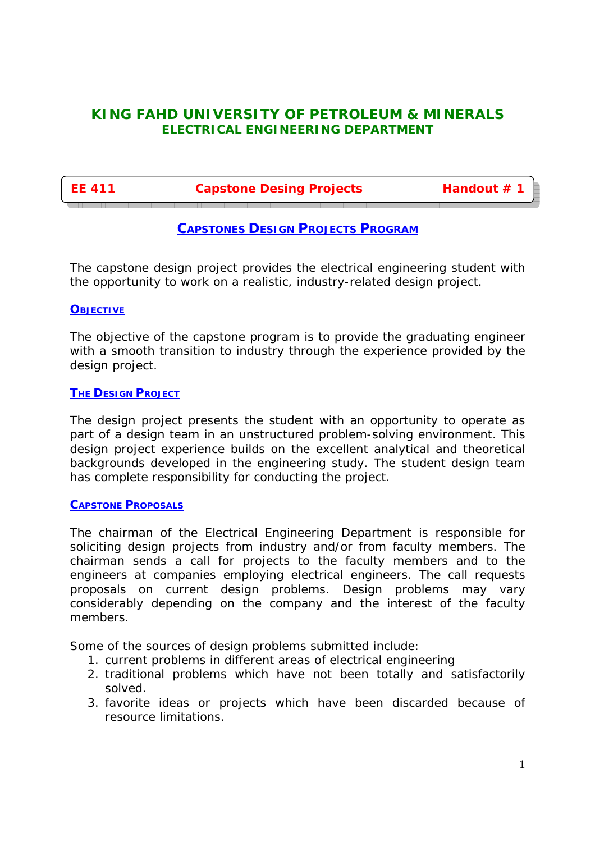# **KING FAHD UNIVERSITY OF PETROLEUM & MINERALS ELECTRICAL ENGINEERING DEPARTMENT**

**EE 411 Capstone Desing Projects Handout # 1**

# **CAPSTONES DESIGN PROJECTS PROGRAM**

The capstone design project provides the electrical engineering student with the opportunity to work on a realistic, industry-related design project.

# **OBJECTIVE**

The objective of the capstone program is to provide the graduating engineer with a smooth transition to industry through the experience provided by the design project.

# **THE DESIGN PROJECT**

The design project presents the student with an opportunity to operate as part of a design team in an unstructured problem-solving environment. This design project experience builds on the excellent analytical and theoretical backgrounds developed in the engineering study. The student design team has complete responsibility for conducting the project.

# **CAPSTONE PROPOSALS**

The chairman of the Electrical Engineering Department is responsible for soliciting design projects from industry and/or from faculty members. The chairman sends a call for projects to the faculty members and to the engineers at companies employing electrical engineers. The call requests proposals on current design problems. Design problems may vary considerably depending on the company and the interest of the faculty members.

Some of the sources of design problems submitted include:

- 1. current problems in different areas of electrical engineering
- 2. traditional problems which have not been totally and satisfactorily solved.
- 3. favorite ideas or projects which have been discarded because of resource limitations.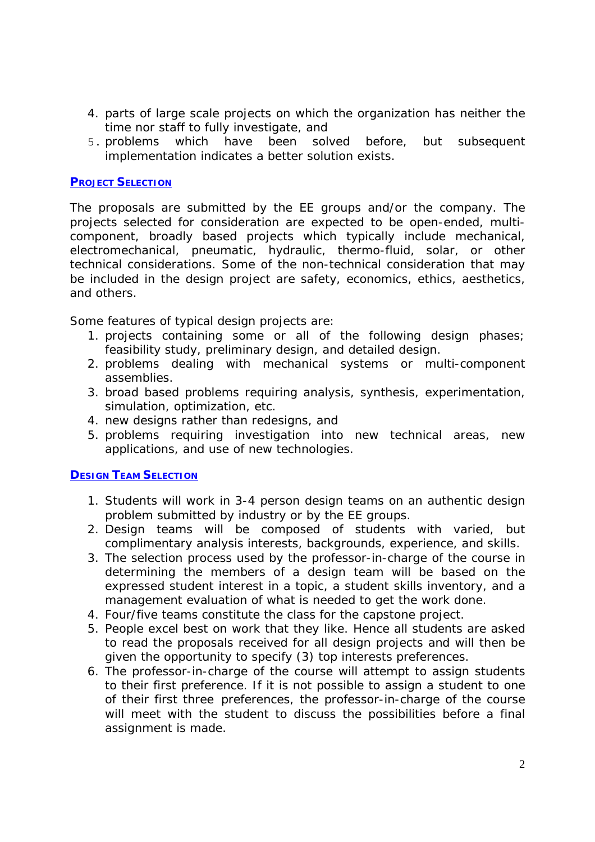- 4. parts of large scale projects on which the organization has neither the time nor staff to fully investigate, and
- 5. problems which have been solved before, but subsequent implementation indicates a better solution exists.

# **PROJECT SELECTION**

The proposals are submitted by the EE groups and/or the company. The projects selected for consideration are expected to be open-ended, multicomponent, broadly based projects which typically include mechanical, electromechanical, pneumatic, hydraulic, thermo-fluid, solar, or other technical considerations. Some of the non-technical consideration that may be included in the design project are safety, economics, ethics, aesthetics, and others.

Some features of typical design projects are:

- 1. projects containing some or all of the following design phases; feasibility study, preliminary design, and detailed design.
- 2. problems dealing with mechanical systems or multi-component assemblies.
- 3. broad based problems requiring analysis, synthesis, experimentation, simulation, optimization, etc.
- 4. new designs rather than redesigns, and
- 5. problems requiring investigation into new technical areas, new applications, and use of new technologies.

# **DESIGN TEAM SELECTION**

- 1. Students will work in 3-4 person design teams on an authentic design problem submitted by industry or by the EE groups.
- 2. Design teams will be composed of students with varied, but complimentary analysis interests, backgrounds, experience, and skills.
- 3. The selection process used by the professor-in-charge of the course in determining the members of a design team will be based on the expressed student interest in a topic, a student skills inventory, and a management evaluation of what is needed to get the work done.
- 4. Four/five teams constitute the class for the capstone project.
- 5. People excel best on work that they like. Hence all students are asked to read the proposals received for all design projects and will then be given the opportunity to specify (3) top interests preferences.
- 6. The professor-in-charge of the course will attempt to assign students to their first preference. If it is not possible to assign a student to one of their first three preferences, the professor-in-charge of the course will meet with the student to discuss the possibilities before a final assignment is made.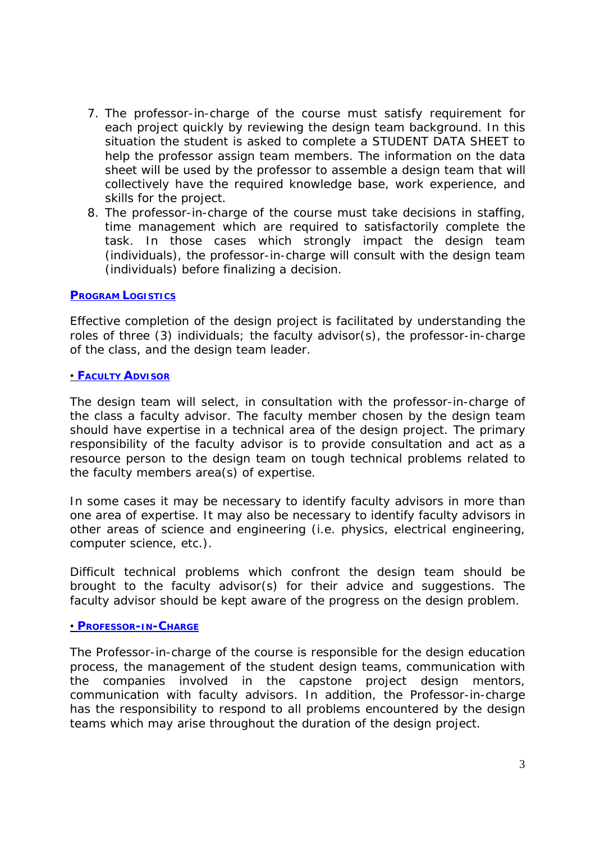- 7. The professor-in-charge of the course must satisfy requirement for each project quickly by reviewing the design team background. In this situation the student is asked to complete a STUDENT DATA SHEET to help the professor assign team members. The information on the data sheet will be used by the professor to assemble a design team that will collectively have the required knowledge base, work experience, and skills for the project.
- 8. The professor-in-charge of the course must take decisions in staffing, time management which are required to satisfactorily complete the task. In those cases which strongly impact the design team (individuals), the professor-in-charge will consult with the design team (individuals) before finalizing a decision.

# **PROGRAM LOGISTICS**

Effective completion of the design project is facilitated by understanding the roles of three (3) individuals; the faculty advisor(s), the professor-in-charge of the class, and the design team leader.

# • **FACULTY ADVISOR**

The design team will select, in consultation with the professor-in-charge of the class a faculty advisor. The faculty member chosen by the design team should have expertise in a technical area of the design project. The primary responsibility of the faculty advisor is to provide consultation and act as a resource person to the design team on tough technical problems related to the faculty members area(s) of expertise.

In some cases it may be necessary to identify faculty advisors in more than one area of expertise. It may also be necessary to identify faculty advisors in other areas of science and engineering (i.e. physics, electrical engineering, computer science, etc.).

Difficult technical problems which confront the design team should be brought to the faculty advisor(s) for their advice and suggestions. The faculty advisor should be kept aware of the progress on the design problem.

# • **PROFESSOR-IN-CHARGE**

The Professor-in-charge of the course is responsible for the design education process, the management of the student design teams, communication with the companies involved in the capstone project design mentors, communication with faculty advisors. In addition, the Professor-in-charge has the responsibility to respond to all problems encountered by the design teams which may arise throughout the duration of the design project.